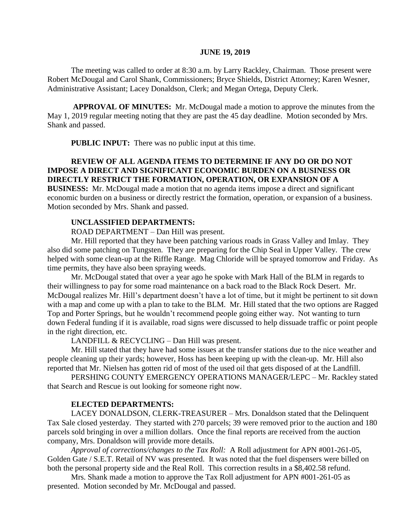#### **JUNE 19, 2019**

The meeting was called to order at 8:30 a.m. by Larry Rackley, Chairman. Those present were Robert McDougal and Carol Shank, Commissioners; Bryce Shields, District Attorney; Karen Wesner, Administrative Assistant; Lacey Donaldson, Clerk; and Megan Ortega, Deputy Clerk.

**APPROVAL OF MINUTES:** Mr. McDougal made a motion to approve the minutes from the May 1, 2019 regular meeting noting that they are past the 45 day deadline. Motion seconded by Mrs. Shank and passed.

 **PUBLIC INPUT:** There was no public input at this time.

## **REVIEW OF ALL AGENDA ITEMS TO DETERMINE IF ANY DO OR DO NOT IMPOSE A DIRECT AND SIGNIFICANT ECONOMIC BURDEN ON A BUSINESS OR DIRECTLY RESTRICT THE FORMATION, OPERATION, OR EXPANSION OF A BUSINESS:** Mr. McDougal made a motion that no agenda items impose a direct and significant

economic burden on a business or directly restrict the formation, operation, or expansion of a business. Motion seconded by Mrs. Shank and passed.

## **UNCLASSIFIED DEPARTMENTS:**

ROAD DEPARTMENT – Dan Hill was present.

Mr. Hill reported that they have been patching various roads in Grass Valley and Imlay. They also did some patching on Tungsten. They are preparing for the Chip Seal in Upper Valley. The crew helped with some clean-up at the Riffle Range. Mag Chloride will be sprayed tomorrow and Friday. As time permits, they have also been spraying weeds.

Mr. McDougal stated that over a year ago he spoke with Mark Hall of the BLM in regards to their willingness to pay for some road maintenance on a back road to the Black Rock Desert. Mr. McDougal realizes Mr. Hill's department doesn't have a lot of time, but it might be pertinent to sit down with a map and come up with a plan to take to the BLM. Mr. Hill stated that the two options are Ragged Top and Porter Springs, but he wouldn't recommend people going either way. Not wanting to turn down Federal funding if it is available, road signs were discussed to help dissuade traffic or point people in the right direction, etc.

LANDFILL & RECYCLING – Dan Hill was present.

Mr. Hill stated that they have had some issues at the transfer stations due to the nice weather and people cleaning up their yards; however, Hoss has been keeping up with the clean-up. Mr. Hill also reported that Mr. Nielsen has gotten rid of most of the used oil that gets disposed of at the Landfill.

PERSHING COUNTY EMERGENCY OPERATIONS MANAGER/LEPC – Mr. Rackley stated that Search and Rescue is out looking for someone right now.

#### **ELECTED DEPARTMENTS:**

LACEY DONALDSON, CLERK-TREASURER – Mrs. Donaldson stated that the Delinquent Tax Sale closed yesterday. They started with 270 parcels; 39 were removed prior to the auction and 180 parcels sold bringing in over a million dollars. Once the final reports are received from the auction company, Mrs. Donaldson will provide more details.

*Approval of corrections/changes to the Tax Roll:* A Roll adjustment for APN #001-261-05, Golden Gate / S.E.T. Retail of NV was presented. It was noted that the fuel dispensers were billed on both the personal property side and the Real Roll. This correction results in a \$8,402.58 refund.

Mrs. Shank made a motion to approve the Tax Roll adjustment for APN #001-261-05 as presented. Motion seconded by Mr. McDougal and passed.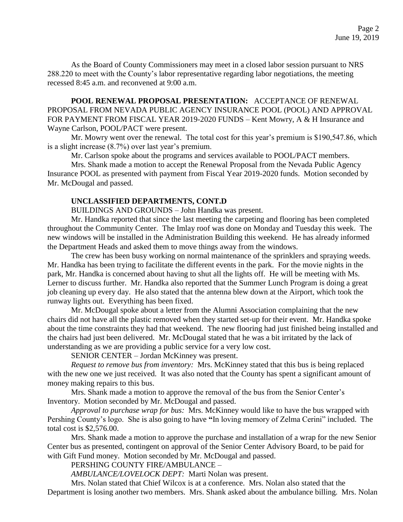As the Board of County Commissioners may meet in a closed labor session pursuant to NRS 288.220 to meet with the County's labor representative regarding labor negotiations, the meeting recessed 8:45 a.m. and reconvened at 9:00 a.m.

**POOL RENEWAL PROPOSAL PRESENTATION:** ACCEPTANCE OF RENEWAL PROPOSAL FROM NEVADA PUBLIC AGENCY INSURANCE POOL (POOL) AND APPROVAL FOR PAYMENT FROM FISCAL YEAR 2019-2020 FUNDS – Kent Mowry, A & H Insurance and Wayne Carlson, POOL/PACT were present.

Mr. Mowry went over the renewal. The total cost for this year's premium is \$190,547.86, which is a slight increase (8.7%) over last year's premium.

Mr. Carlson spoke about the programs and services available to POOL/PACT members.

Mrs. Shank made a motion to accept the Renewal Proposal from the Nevada Public Agency Insurance POOL as presented with payment from Fiscal Year 2019-2020 funds. Motion seconded by Mr. McDougal and passed.

## **UNCLASSIFIED DEPARTMENTS, CONT.D**

BUILDINGS AND GROUNDS – John Handka was present.

Mr. Handka reported that since the last meeting the carpeting and flooring has been completed throughout the Community Center. The Imlay roof was done on Monday and Tuesday this week. The new windows will be installed in the Administration Building this weekend. He has already informed the Department Heads and asked them to move things away from the windows.

The crew has been busy working on normal maintenance of the sprinklers and spraying weeds. Mr. Handka has been trying to facilitate the different events in the park. For the movie nights in the park, Mr. Handka is concerned about having to shut all the lights off. He will be meeting with Ms. Lerner to discuss further. Mr. Handka also reported that the Summer Lunch Program is doing a great job cleaning up every day. He also stated that the antenna blew down at the Airport, which took the runway lights out. Everything has been fixed.

Mr. McDougal spoke about a letter from the Alumni Association complaining that the new chairs did not have all the plastic removed when they started set-up for their event. Mr. Handka spoke about the time constraints they had that weekend. The new flooring had just finished being installed and the chairs had just been delivered. Mr. McDougal stated that he was a bit irritated by the lack of understanding as we are providing a public service for a very low cost.

SENIOR CENTER – Jordan McKinney was present.

*Request to remove bus from inventory:* Mrs. McKinney stated that this bus is being replaced with the new one we just received. It was also noted that the County has spent a significant amount of money making repairs to this bus.

Mrs. Shank made a motion to approve the removal of the bus from the Senior Center's Inventory. Motion seconded by Mr. McDougal and passed.

*Approval to purchase wrap for bus:* Mrs. McKinney would like to have the bus wrapped with Pershing County's logo. She is also going to have **"**In loving memory of Zelma Cerini" included. The total cost is \$2,576.00.

Mrs. Shank made a motion to approve the purchase and installation of a wrap for the new Senior Center bus as presented, contingent on approval of the Senior Center Advisory Board, to be paid for with Gift Fund money. Motion seconded by Mr. McDougal and passed.

PERSHING COUNTY FIRE/AMBULANCE –

*AMBULANCE/LOVELOCK DEPT:* Marti Nolan was present.

Mrs. Nolan stated that Chief Wilcox is at a conference. Mrs. Nolan also stated that the Department is losing another two members. Mrs. Shank asked about the ambulance billing. Mrs. Nolan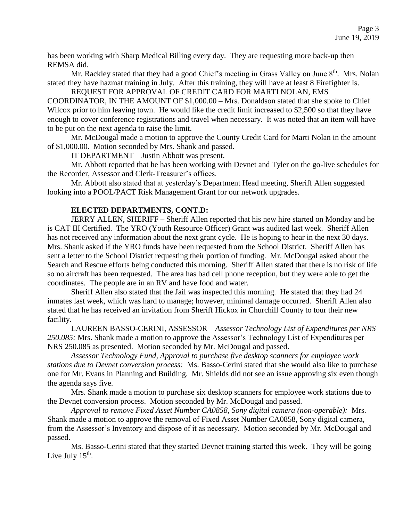has been working with Sharp Medical Billing every day. They are requesting more back-up then REMSA did.

Mr. Rackley stated that they had a good Chief's meeting in Grass Valley on June 8<sup>th</sup>. Mrs. Nolan stated they have hazmat training in July. After this training, they will have at least 8 Firefighter Is.

REQUEST FOR APPROVAL OF CREDIT CARD FOR MARTI NOLAN, EMS COORDINATOR, IN THE AMOUNT OF \$1,000.00 – Mrs. Donaldson stated that she spoke to Chief Wilcox prior to him leaving town. He would like the credit limit increased to \$2,500 so that they have enough to cover conference registrations and travel when necessary. It was noted that an item will have to be put on the next agenda to raise the limit.

Mr. McDougal made a motion to approve the County Credit Card for Marti Nolan in the amount of \$1,000.00. Motion seconded by Mrs. Shank and passed.

IT DEPARTMENT – Justin Abbott was present.

Mr. Abbott reported that he has been working with Devnet and Tyler on the go-live schedules for the Recorder, Assessor and Clerk-Treasurer's offices.

Mr. Abbott also stated that at yesterday's Department Head meeting, Sheriff Allen suggested looking into a POOL/PACT Risk Management Grant for our network upgrades.

# **ELECTED DEPARTMENTS, CONT.D:**

JERRY ALLEN, SHERIFF – Sheriff Allen reported that his new hire started on Monday and he is CAT III Certified. The YRO (Youth Resource Officer) Grant was audited last week. Sheriff Allen has not received any information about the next grant cycle. He is hoping to hear in the next 30 days. Mrs. Shank asked if the YRO funds have been requested from the School District. Sheriff Allen has sent a letter to the School District requesting their portion of funding. Mr. McDougal asked about the Search and Rescue efforts being conducted this morning. Sheriff Allen stated that there is no risk of life so no aircraft has been requested. The area has bad cell phone reception, but they were able to get the coordinates. The people are in an RV and have food and water.

Sheriff Allen also stated that the Jail was inspected this morning. He stated that they had 24 inmates last week, which was hard to manage; however, minimal damage occurred. Sheriff Allen also stated that he has received an invitation from Sheriff Hickox in Churchill County to tour their new facility.

LAUREEN BASSO-CERINI, ASSESSOR – *Assessor Technology List of Expenditures per NRS 250.085:* Mrs. Shank made a motion to approve the Assessor's Technology List of Expenditures per NRS 250.085 as presented. Motion seconded by Mr. McDougal and passed.

*Assessor Technology Fund, Approval to purchase five desktop scanners for employee work stations due to Devnet conversion process:* Ms. Basso-Cerini stated that she would also like to purchase one for Mr. Evans in Planning and Building. Mr. Shields did not see an issue approving six even though the agenda says five.

Mrs. Shank made a motion to purchase six desktop scanners for employee work stations due to the Devnet conversion process. Motion seconded by Mr. McDougal and passed.

*Approval to remove Fixed Asset Number CA0858, Sony digital camera (non-operable):* Mrs. Shank made a motion to approve the removal of Fixed Asset Number CA0858, Sony digital camera, from the Assessor's Inventory and dispose of it as necessary. Motion seconded by Mr. McDougal and passed.

Ms. Basso-Cerini stated that they started Devnet training started this week. They will be going Live July  $15^{\text{th}}$ .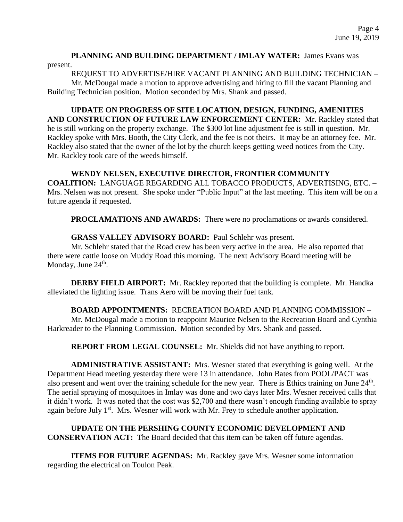## **PLANNING AND BUILDING DEPARTMENT / IMLAY WATER:** James Evans was present.

REQUEST TO ADVERTISE/HIRE VACANT PLANNING AND BUILDING TECHNICIAN –

Mr. McDougal made a motion to approve advertising and hiring to fill the vacant Planning and Building Technician position. Motion seconded by Mrs. Shank and passed.

**UPDATE ON PROGRESS OF SITE LOCATION, DESIGN, FUNDING, AMENITIES AND CONSTRUCTION OF FUTURE LAW ENFORCEMENT CENTER:** Mr. Rackley stated that he is still working on the property exchange. The \$300 lot line adjustment fee is still in question. Mr. Rackley spoke with Mrs. Booth, the City Clerk, and the fee is not theirs. It may be an attorney fee. Mr. Rackley also stated that the owner of the lot by the church keeps getting weed notices from the City. Mr. Rackley took care of the weeds himself.

# **WENDY NELSEN, EXECUTIVE DIRECTOR, FRONTIER COMMUNITY**

**COALITION:** LANGUAGE REGARDING ALL TOBACCO PRODUCTS, ADVERTISING, ETC. – Mrs. Nelsen was not present. She spoke under "Public Input" at the last meeting. This item will be on a future agenda if requested.

**PROCLAMATIONS AND AWARDS:** There were no proclamations or awards considered.

# **GRASS VALLEY ADVISORY BOARD:** Paul Schlehr was present.

Mr. Schlehr stated that the Road crew has been very active in the area. He also reported that there were cattle loose on Muddy Road this morning. The next Advisory Board meeting will be Monday, June 24<sup>th</sup>.

**DERBY FIELD AIRPORT:** Mr. Rackley reported that the building is complete. Mr. Handka alleviated the lighting issue. Trans Aero will be moving their fuel tank.

**BOARD APPOINTMENTS:** RECREATION BOARD AND PLANNING COMMISSION – Mr. McDougal made a motion to reappoint Maurice Nelsen to the Recreation Board and Cynthia Harkreader to the Planning Commission. Motion seconded by Mrs. Shank and passed.

**REPORT FROM LEGAL COUNSEL:** Mr. Shields did not have anything to report.

**ADMINISTRATIVE ASSISTANT:** Mrs. Wesner stated that everything is going well. At the Department Head meeting yesterday there were 13 in attendance. John Bates from POOL/PACT was also present and went over the training schedule for the new year. There is Ethics training on June 24<sup>th</sup>. The aerial spraying of mosquitoes in Imlay was done and two days later Mrs. Wesner received calls that it didn't work. It was noted that the cost was \$2,700 and there wasn't enough funding available to spray again before July 1<sup>st</sup>. Mrs. Wesner will work with Mr. Frey to schedule another application.

**UPDATE ON THE PERSHING COUNTY ECONOMIC DEVELOPMENT AND CONSERVATION ACT:** The Board decided that this item can be taken off future agendas.

**ITEMS FOR FUTURE AGENDAS:** Mr. Rackley gave Mrs. Wesner some information regarding the electrical on Toulon Peak.